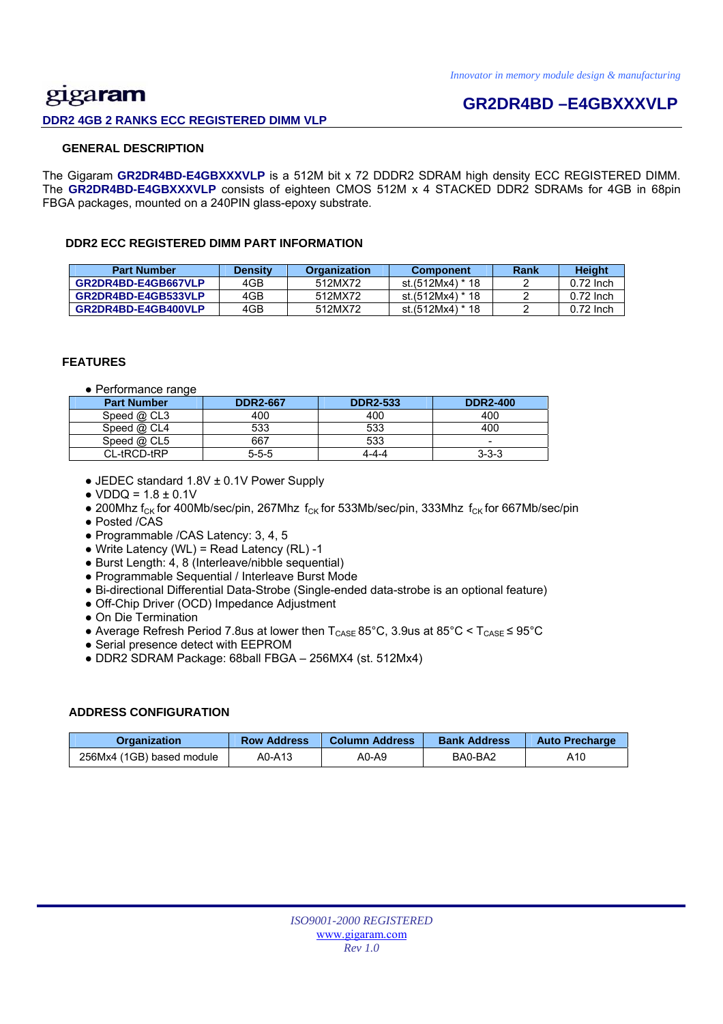## gigaram **DDR2 4GB 2 RANKS ECC REGISTERED DIMM VLP**

## **GR2DR4BD –E4GBXXXVLP**

### **GENERAL DESCRIPTION**

The Gigaram **GR2DR4BD-E4GBXXXVLP** is a 512M bit x 72 DDDR2 SDRAM high density ECC REGISTERED DIMM. The **GR2DR4BD-E4GBXXXVLP** consists of eighteen CMOS 512M x 4 STACKED DDR2 SDRAMs for 4GB in 68pin FBGA packages, mounted on a 240PIN glass-epoxy substrate.

### **DDR2 ECC REGISTERED DIMM PART INFORMATION**

| <b>Part Number</b>  | <b>Density</b> | <b>Organization</b> | <b>Component</b> | Rank | Height      |
|---------------------|----------------|---------------------|------------------|------|-------------|
| GR2DR4BD-E4GB667VLP | 4GB            | 512MX72             | st.(512Mx4) * 18 |      | $0.72$ lnch |
| GR2DR4BD-E4GB533VLP | 4GB            | 512MX72             | st.(512Mx4) * 18 |      | $0.72$ lnch |
| GR2DR4BD-E4GB400VLP | 4GB            | 512MX72             | st.(512Mx4) * 18 |      | $0.72$ lnch |

### **FEATURES**

● Performance range

| <b>Part Number</b> | <b>DDR2-667</b> | <b>DDR2-533</b> | <b>DDR2-400</b>          |
|--------------------|-----------------|-----------------|--------------------------|
| Speed @ CL3        | 400             | 400             | 400                      |
| Speed $@$ CL4      | 533             | 533             | 400                      |
| Speed $@$ CL5      | 667             | 533             | $\overline{\phantom{a}}$ |
| CL-tRCD-tRP        | $5 - 5 - 5$     | 4-4-4           | $3 - 3 - 3$              |

- JEDEC standard 1.8V ± 0.1V Power Supply
- $\bullet$  VDDQ = 1.8  $\pm$  0.1V
- 200Mhz f<sub>CK</sub> for 400Mb/sec/pin, 267Mhz f<sub>CK</sub> for 533Mb/sec/pin, 333Mhz f<sub>CK</sub> for 667Mb/sec/pin
- Posted /CAS
- Programmable /CAS Latency: 3, 4, 5
- $\bullet$  Write Latency (WL) = Read Latency (RL) -1
- Burst Length: 4, 8 (Interleave/nibble sequential)
- Programmable Sequential / Interleave Burst Mode
- Bi-directional Differential Data-Strobe (Single-ended data-strobe is an optional feature)
- Off-Chip Driver (OCD) Impedance Adjustment
- On Die Termination
- Average Refresh Period 7.8us at lower then  $T_{\text{CASE}}$  85°C, 3.9us at 85°C <  $T_{\text{CASE}}$  ≤ 95°C
- Serial presence detect with EEPROM
- DDR2 SDRAM Package: 68ball FBGA 256MX4 (st. 512Mx4)

### **ADDRESS CONFIGURATION**

| Organization              | <b>Row Address</b> | Column Address | <b>Bank Address</b> | <b>Auto Precharge</b> |
|---------------------------|--------------------|----------------|---------------------|-----------------------|
| 256Mx4 (1GB) based module | A0-A13             | A0-A9          | BA0-BA2             | A10                   |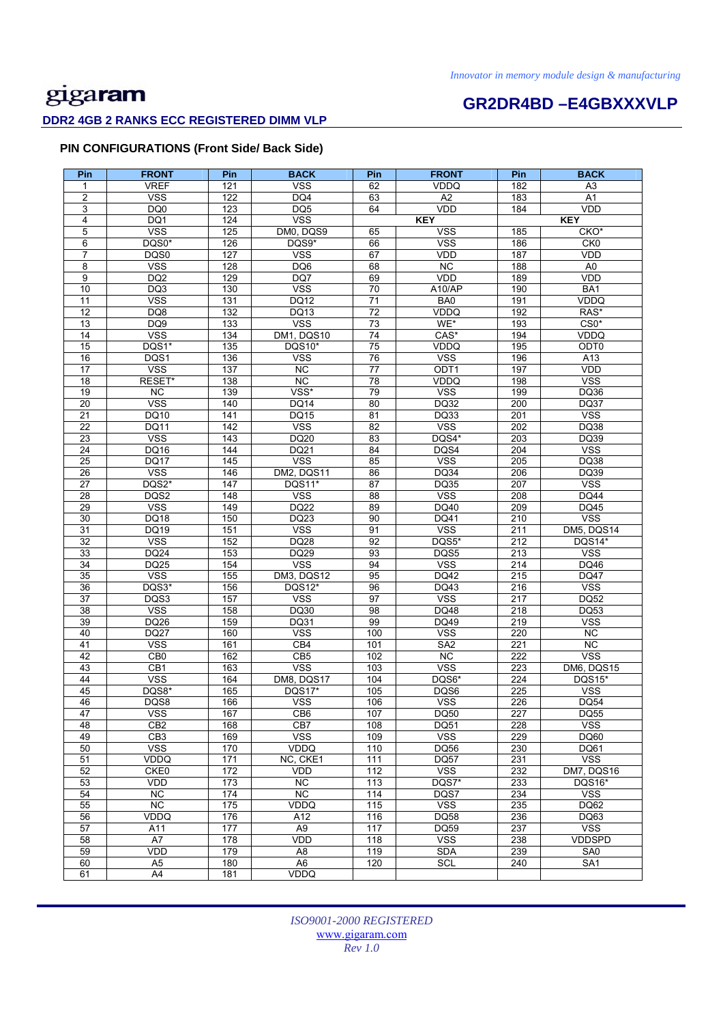# **GR2DR4BD –E4GBXXXVLP**

### **DDR2 4GB 2 RANKS ECC REGISTERED DIMM VLP**

### **PIN CONFIGURATIONS (Front Side/ Back Side)**

| Pin             | <b>FRONT</b>                   | Pin        | <b>BACK</b>           | Pin             | <b>FRONT</b>       | Pin              | <b>BACK</b>                            |
|-----------------|--------------------------------|------------|-----------------------|-----------------|--------------------|------------------|----------------------------------------|
| 1               | <b>VREF</b>                    | 121        | <b>VSS</b>            | 62              | VDDQ               | 182              | A3                                     |
| $\overline{2}$  | <b>VSS</b>                     | 122        | DQ4                   | 63              | A2                 | 183              | $\overline{A1}$                        |
| 3               | DQ0                            | 123        | DQ <sub>5</sub>       | 64              | <b>VDD</b>         | 184              | <b>VDD</b>                             |
| 4               | DQ1                            | 124        | <b>VSS</b>            |                 | <b>KEY</b>         |                  | <b>KEY</b>                             |
| 5               | <b>VSS</b>                     | 125        | DM0, DQS9             | 65              | <b>VSS</b>         | 185              | CKO*                                   |
| 6               | DQS0*                          | 126        | DQS9*                 | 66              | <b>VSS</b>         | 186              | CKO                                    |
| $\overline{7}$  | DQS0                           | 127        | <b>VSS</b>            | 67              | VDD                | 187              | <b>VDD</b>                             |
| 8               | <b>VSS</b>                     | 128        | DQ6                   | 68              | $\overline{NC}$    | 188              | A <sub>0</sub>                         |
| 9               | DQ <sub>2</sub>                | 129        | DQ7                   | 69              | <b>VDD</b>         | 189              | <b>VDD</b>                             |
| 10              | DQ3                            | 130        | <b>VSS</b>            | 70              | A10/AP             | 190              | BA1                                    |
| 11              | <b>VSS</b>                     | 131        | <b>DQ12</b>           | 71              | BA0                | 191              | <b>VDDQ</b>                            |
| $\overline{12}$ | DQ8                            | 132        | DQ13                  | 72              | <b>VDDQ</b>        | 192              | RAS*                                   |
| 13              | DQ <sub>9</sub>                | 133        | <b>VSS</b>            | 73              | WE*                | 193              | $CS0*$                                 |
| 14              | <b>VSS</b>                     | 134        | DM1, DQS10            | 74              | CAS*               | 194              | <b>VDDQ</b>                            |
| 15<br>16        | DQS1*<br>DQS1                  | 135        | DQS10*<br><b>VSS</b>  | 75<br>76        | VDDQ<br><b>VSS</b> | 195<br>196       | ODT0                                   |
| 17              | <b>VSS</b>                     | 136<br>137 | NC                    | 77              | ODT1               | 197              | A13<br><b>VDD</b>                      |
| 18              | RESET*                         | 138        | <b>NC</b>             | 78              | VDDQ               | 198              | <b>VSS</b>                             |
| 19              | NC.                            | 139        | VSS*                  | 79              | <b>VSS</b>         | 199              | <b>DQ36</b>                            |
| $\overline{20}$ | <b>VSS</b>                     | 140        | DQ14                  | 80              | DQ32               | 200              | <b>DQ37</b>                            |
| 21              | DQ10                           | 141        | DQ15                  | 81              | DQ33               | 201              | <b>VSS</b>                             |
| 22              | DQ11                           | 142        | <b>VSS</b>            | 82              | <b>VSS</b>         | 202              | DQ38                                   |
| 23              | <b>VSS</b>                     | 143        | DQ20                  | 83              | DQS4*              | 203              | DQ39                                   |
| 24              | DQ16                           | 144        | DQ21                  | 84              | DQS4               | 204              | <b>VSS</b>                             |
| $\overline{25}$ | <b>DQ17</b>                    | 145        | <b>VSS</b>            | 85              | <b>VSS</b>         | 205              | <b>DQ38</b>                            |
| 26              | <b>VSS</b>                     | 146        | DM2, DQS11            | 86              | <b>DQ34</b>        | 206              | DQ39                                   |
| $\overline{27}$ | DQS2*                          | 147        | DQS11*                | 87              | DQ35               | 207              | <b>VSS</b>                             |
| 28              | DQS2                           | 148        | <b>VSS</b>            | 88              | <b>VSS</b>         | 208              | <b>DQ44</b>                            |
| 29              | <b>VSS</b>                     | 149        | <b>DQ22</b>           | 89              | DQ40               | 209              | DQ45                                   |
| 30              | <b>DQ18</b>                    | 150        | DQ23                  | 90              | DQ41               | 210              | <b>VSS</b>                             |
| 31              | DQ19                           | 151        | <b>VSS</b>            | 91              | <b>VSS</b>         | 211              | DM5, DQS14                             |
| $\overline{32}$ | <b>VSS</b>                     | 152        | <b>DQ28</b>           | $\overline{92}$ | DQS5*              | 212              | DQS14*                                 |
| 33              | DQ24                           | 153        | DQ29                  | 93              | DQS5               | 213              | <b>VSS</b>                             |
| $\overline{34}$ | <b>DQ25</b>                    | 154        | <b>VSS</b>            | 94              | <b>VSS</b>         | 214              | DQ46                                   |
| 35<br>36        | <b>VSS</b><br>DQS3*            | 155<br>156 | DM3, DQS12<br>DQS12*  | 95<br>96        | DQ42<br>DQ43       | 215<br>216       | <b>DQ47</b><br>$\overline{\text{VSS}}$ |
| 37              | DQS3                           | 157        | <b>VSS</b>            | 97              | <b>VSS</b>         | $\overline{217}$ | <b>DQ52</b>                            |
| 38              | <b>VSS</b>                     | 158        | DQ30                  | 98              | DQ48               | 218              | DQ53                                   |
| 39              | DQ26                           | 159        | DQ31                  | 99              | DQ49               | 219              | <b>VSS</b>                             |
| 40              | <b>DQ27</b>                    | 160        | <b>VSS</b>            | 100             | <b>VSS</b>         | 220              | NC.                                    |
| 41              | <b>VSS</b>                     | 161        | CB4                   | 101             | SA <sub>2</sub>    | 221              | <b>NC</b>                              |
| 42              | CB <sub>0</sub>                | 162        | CB <sub>5</sub>       | 102             | NC                 | 222              | <b>VSS</b>                             |
| 43              | CB1                            | 163        | <b>VSS</b>            | 103             | <b>VSS</b>         | 223              | DM6, DQS15                             |
| 44              | <b>VSS</b>                     | 164        | DM8, DQS17            | 104             | DQS6*              | 224              | DQS15*                                 |
| 45              | DQS8*                          | 165        | DQS17*                | 105             | DQS6               | 225              | <b>VSS</b>                             |
| 46              | DQS8                           | 166        | <b>VSS</b>            | 106             | <b>VSS</b>         | 226              | <b>DQ54</b>                            |
| 47              | vss                            | 167        | CB <sub>6</sub>       | 107             | DQ50               | 227              | <b>DQ55</b>                            |
| 48              | CB <sub>2</sub>                | 168        | CB7                   | 108             | DQ51               | 228              | <b>VSS</b>                             |
| 49              | CB <sub>3</sub>                | 169        | <b>VSS</b>            | 109             | <b>VSS</b>         | 229              | DQ60                                   |
| 50              | <b>VSS</b>                     | 170        | VDDQ                  | 110             | DQ56               | 230              | DQ61                                   |
| 51              | VDDQ                           | 171        | NC, CKE1              | 111             | <b>DQ57</b>        | 231              | $\overline{\text{VSS}}$                |
| 52              | CKE0                           | 172        | <b>VDD</b>            | 112             | <b>VSS</b>         | 232              | DM7, DQS16                             |
| 53              | VDD                            | 173        | NC                    | 113             | DQS7*              | 233              | <b>DQS16*</b>                          |
| 54<br>55        | NC.                            | 174        | <b>NC</b>             | 114             | DQS7               | 234              | <b>VSS</b>                             |
|                 | $\overline{NC}$<br><b>VDDQ</b> | 175<br>176 | VDDQ                  | 115             | <b>VSS</b>         | 235              | DQ62                                   |
| 56<br>57        | A11                            | 177        | A12<br>A <sub>9</sub> | 116<br>117      | DQ58<br>DQ59       | 236<br>237       | DQ63<br>$\overline{\text{VSS}}$        |
| 58              | A7                             | 178        | VDD                   | 118             | <b>VSS</b>         | 238              | <b>VDDSPD</b>                          |
| 59              | VDD                            | 179        | $\overline{AB}$       | 119             | <b>SDA</b>         | 239              | SA <sub>0</sub>                        |
| 60              | A <sub>5</sub>                 | 180        | A <sub>6</sub>        | 120             | <b>SCL</b>         | 240              | SA <sub>1</sub>                        |
| 61              | A4                             | 181        | VDDQ                  |                 |                    |                  |                                        |
|                 |                                |            |                       |                 |                    |                  |                                        |

*ISO9001-2000 REGISTERED*  www.gigaram.com *Rev 1.0*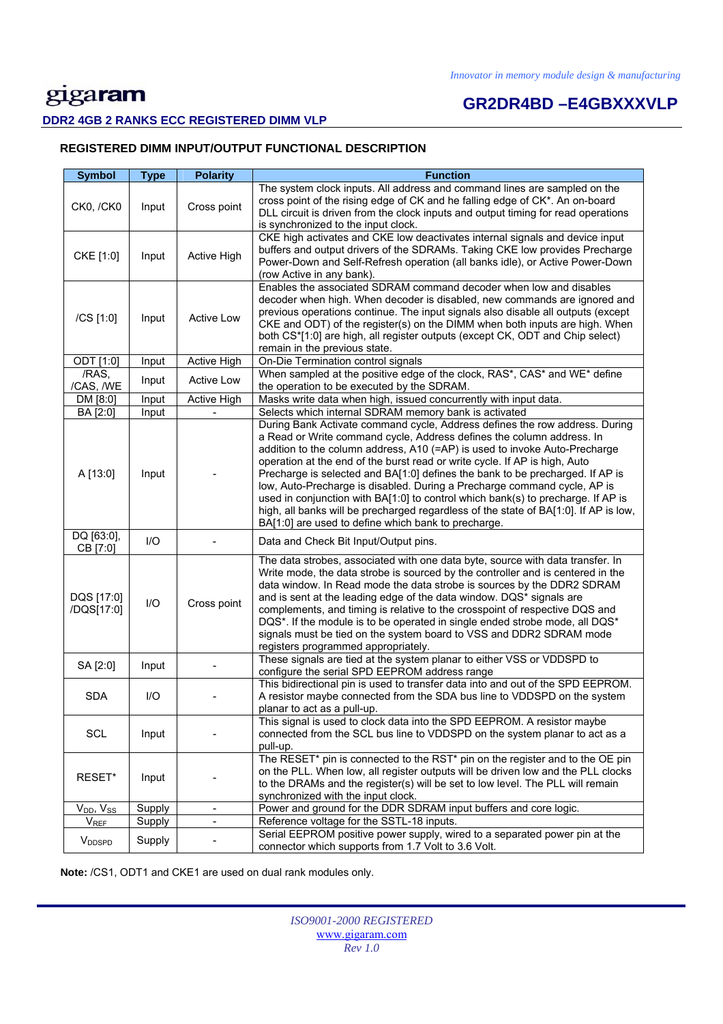# **GR2DR4BD –E4GBXXXVLP**

### **DDR2 4GB 2 RANKS ECC REGISTERED DIMM VLP**

### **REGISTERED DIMM INPUT/OUTPUT FUNCTIONAL DESCRIPTION**

| <b>Symbol</b>            | <b>Type</b>            | <b>Polarity</b>              | <b>Function</b>                                                                                                                                                                                                                                                                                                                                                                                                                                                                                                                                                                                                                                                                                                  |
|--------------------------|------------------------|------------------------------|------------------------------------------------------------------------------------------------------------------------------------------------------------------------------------------------------------------------------------------------------------------------------------------------------------------------------------------------------------------------------------------------------------------------------------------------------------------------------------------------------------------------------------------------------------------------------------------------------------------------------------------------------------------------------------------------------------------|
| CK0, /CK0                | Input                  | Cross point                  | The system clock inputs. All address and command lines are sampled on the<br>cross point of the rising edge of CK and he falling edge of CK*. An on-board<br>DLL circuit is driven from the clock inputs and output timing for read operations<br>is synchronized to the input clock.                                                                                                                                                                                                                                                                                                                                                                                                                            |
| CKE [1:0]                | Input                  | Active High                  | CKE high activates and CKE low deactivates internal signals and device input<br>buffers and output drivers of the SDRAMs. Taking CKE low provides Precharge<br>Power-Down and Self-Refresh operation (all banks idle), or Active Power-Down<br>(row Active in any bank).                                                                                                                                                                                                                                                                                                                                                                                                                                         |
| /CS [1:0]                | Input                  | Active Low                   | Enables the associated SDRAM command decoder when low and disables<br>decoder when high. When decoder is disabled, new commands are ignored and<br>previous operations continue. The input signals also disable all outputs (except<br>CKE and ODT) of the register(s) on the DIMM when both inputs are high. When<br>both CS*[1:0] are high, all register outputs (except CK, ODT and Chip select)<br>remain in the previous state.                                                                                                                                                                                                                                                                             |
| ODT [1:0]                | Input                  | Active High                  | On-Die Termination control signals                                                                                                                                                                                                                                                                                                                                                                                                                                                                                                                                                                                                                                                                               |
| /RAS,<br>/CAS, /WE       | Input                  | <b>Active Low</b>            | When sampled at the positive edge of the clock, RAS*, CAS* and WE* define<br>the operation to be executed by the SDRAM.                                                                                                                                                                                                                                                                                                                                                                                                                                                                                                                                                                                          |
| DM [8:0]                 | Input                  | Active High                  | Masks write data when high, issued concurrently with input data.                                                                                                                                                                                                                                                                                                                                                                                                                                                                                                                                                                                                                                                 |
| BA [2:0]                 | Input                  |                              | Selects which internal SDRAM memory bank is activated                                                                                                                                                                                                                                                                                                                                                                                                                                                                                                                                                                                                                                                            |
| A [13:0]                 | Input                  |                              | During Bank Activate command cycle, Address defines the row address. During<br>a Read or Write command cycle, Address defines the column address. In<br>addition to the column address, A10 (=AP) is used to invoke Auto-Precharge<br>operation at the end of the burst read or write cycle. If AP is high, Auto<br>Precharge is selected and BA[1:0] defines the bank to be precharged. If AP is<br>low, Auto-Precharge is disabled. During a Precharge command cycle, AP is<br>used in conjunction with BA[1:0] to control which bank(s) to precharge. If AP is<br>high, all banks will be precharged regardless of the state of BA[1:0]. If AP is low,<br>BA[1:0] are used to define which bank to precharge. |
| DQ [63:0],<br>CB [7:0]   | $II$                   |                              | Data and Check Bit Input/Output pins.                                                                                                                                                                                                                                                                                                                                                                                                                                                                                                                                                                                                                                                                            |
| DQS [17:0]<br>/DQS[17:0] | $\mathsf{U}\mathsf{O}$ | Cross point                  | The data strobes, associated with one data byte, source with data transfer. In<br>Write mode, the data strobe is sourced by the controller and is centered in the<br>data window. In Read mode the data strobe is sources by the DDR2 SDRAM<br>and is sent at the leading edge of the data window. DQS* signals are<br>complements, and timing is relative to the crosspoint of respective DQS and<br>DQS*. If the module is to be operated in single ended strobe mode, all DQS*<br>signals must be tied on the system board to VSS and DDR2 SDRAM mode<br>registers programmed appropriately.                                                                                                                  |
| SA [2:0]                 | Input                  |                              | These signals are tied at the system planar to either VSS or VDDSPD to<br>configure the serial SPD EEPROM address range                                                                                                                                                                                                                                                                                                                                                                                                                                                                                                                                                                                          |
| <b>SDA</b>               | I/O                    |                              | This bidirectional pin is used to transfer data into and out of the SPD EEPROM.<br>A resistor maybe connected from the SDA bus line to VDDSPD on the system<br>planar to act as a pull-up.                                                                                                                                                                                                                                                                                                                                                                                                                                                                                                                       |
| SCL                      | Input                  |                              | This signal is used to clock data into the SPD EEPROM. A resistor maybe<br>connected from the SCL bus line to VDDSPD on the system planar to act as a<br>pull-up.                                                                                                                                                                                                                                                                                                                                                                                                                                                                                                                                                |
| RESET*                   | Input                  |                              | The RESET* pin is connected to the RST* pin on the register and to the OE pin<br>on the PLL. When low, all register outputs will be driven low and the PLL clocks<br>to the DRAMs and the register(s) will be set to low level. The PLL will remain<br>synchronized with the input clock.                                                                                                                                                                                                                                                                                                                                                                                                                        |
| $V_{DD}$ , $V_{SS}$      | Supply                 | $\blacksquare$               | Power and ground for the DDR SDRAM input buffers and core logic.                                                                                                                                                                                                                                                                                                                                                                                                                                                                                                                                                                                                                                                 |
| <b>VREF</b>              | Supply                 | $\qquad \qquad \blacksquare$ | Reference voltage for the SSTL-18 inputs.                                                                                                                                                                                                                                                                                                                                                                                                                                                                                                                                                                                                                                                                        |
| V <sub>DDSPD</sub>       | Supply                 |                              | Serial EEPROM positive power supply, wired to a separated power pin at the<br>connector which supports from 1.7 Volt to 3.6 Volt.                                                                                                                                                                                                                                                                                                                                                                                                                                                                                                                                                                                |

 **Note:** /CS1, ODT1 and CKE1 are used on dual rank modules only.

| ISO9001-2000 REGISTERED |
|-------------------------|
| www.gigaram.com         |
| Rev 1.0                 |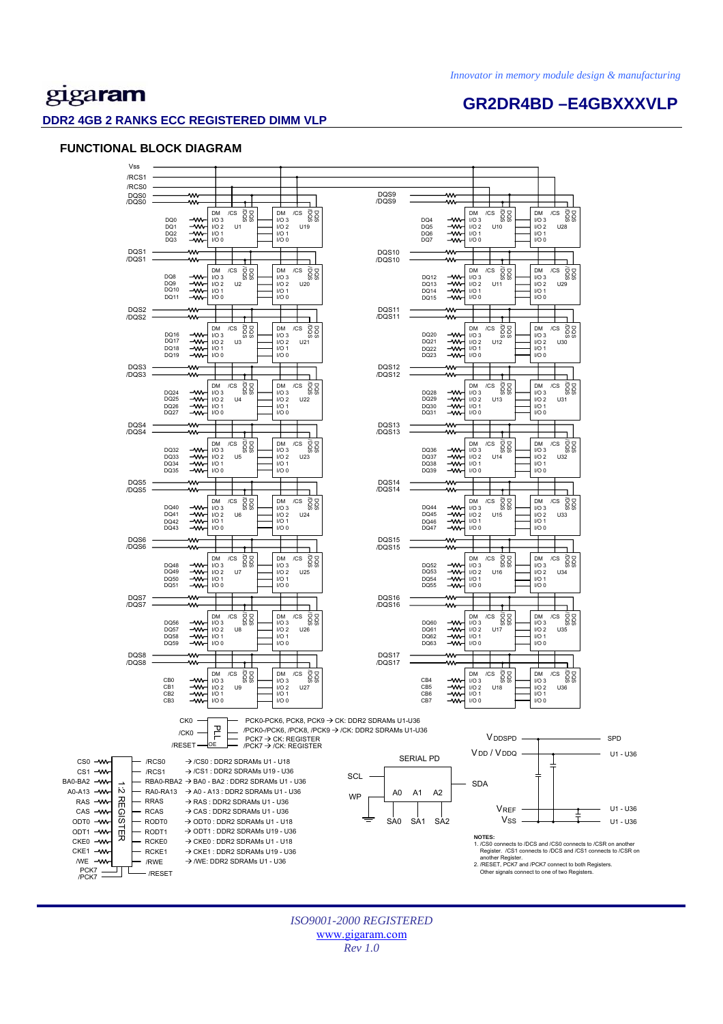**GR2DR4BD –E4GBXXXVLP** 

## gigaram

### **DDR2 4GB 2 RANKS ECC REGISTERED DIMM VLP**

### **FUNCTIONAL BLOCK DIAGRAM**



*ISO9001-2000 REGISTERED*  www.gigaram.com *Rev 1.0*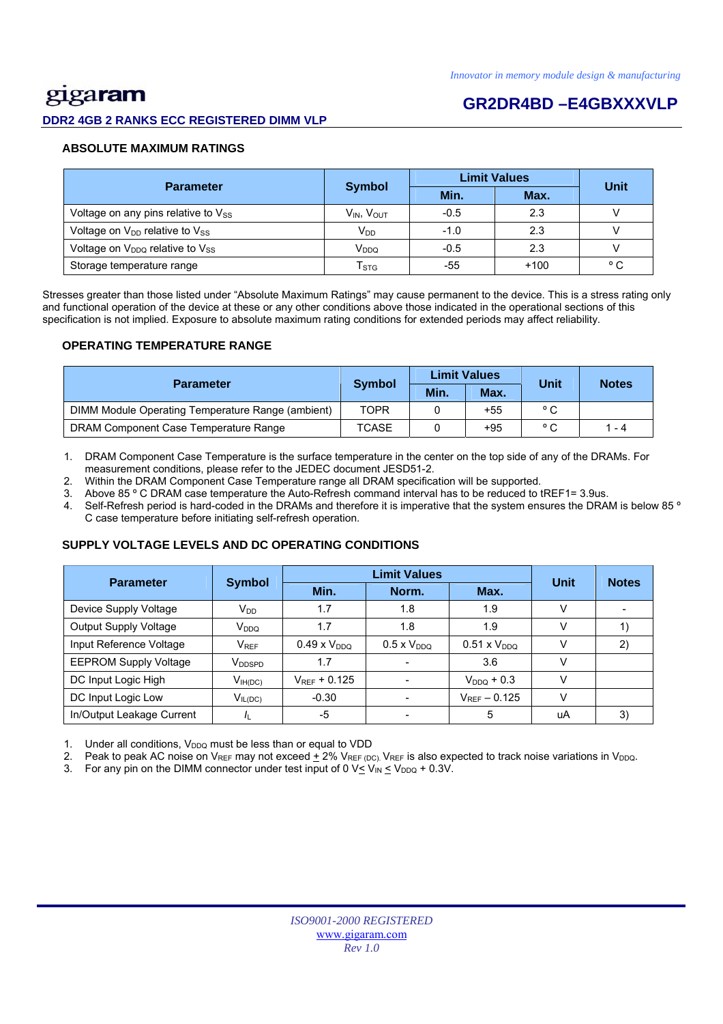# gigaram

## **GR2DR4BD –E4GBXXXVLP**

### **DDR2 4GB 2 RANKS ECC REGISTERED DIMM VLP**

### **ABSOLUTE MAXIMUM RATINGS**

| <b>Parameter</b>                                        |                                    | <b>Limit Values</b> | Unit   |              |
|---------------------------------------------------------|------------------------------------|---------------------|--------|--------------|
|                                                         | <b>Symbol</b>                      | Min.                | Max.   |              |
| Voltage on any pins relative to Vss                     | V <sub>IN</sub> , V <sub>OUT</sub> | $-0.5$              | 2.3    |              |
| Voltage on $V_{DD}$ relative to $V_{SS}$                | $V_{DD}$                           | $-1.0$              | 2.3    |              |
| Voltage on V <sub>DDQ</sub> relative to V <sub>SS</sub> | V <sub>DDQ</sub>                   | $-0.5$              | 2.3    |              |
| Storage temperature range                               | $\mathsf{T}_{\texttt{STG}}$        | -55                 | $+100$ | $^{\circ}$ C |

Stresses greater than those listed under "Absolute Maximum Ratings" may cause permanent to the device. This is a stress rating only and functional operation of the device at these or any other conditions above those indicated in the operational sections of this specification is not implied. Exposure to absolute maximum rating conditions for extended periods may affect reliability.

### **OPERATING TEMPERATURE RANGE**

| <b>Parameter</b>                                  |               |      | <b>Limit Values</b> | Unit         | <b>Notes</b> |
|---------------------------------------------------|---------------|------|---------------------|--------------|--------------|
|                                                   | <b>Symbol</b> | Min. | Max.                |              |              |
| DIMM Module Operating Temperature Range (ambient) | <b>TOPR</b>   |      | $+55$               | $^{\circ}$ C |              |
| DRAM Component Case Temperature Range             | <b>TCASE</b>  |      | +95                 | $\circ$ C    | $1 - 4$      |

1. DRAM Component Case Temperature is the surface temperature in the center on the top side of any of the DRAMs. For measurement conditions, please refer to the JEDEC document JESD51-2.

2. Within the DRAM Component Case Temperature range all DRAM specification will be supported.

3. Above 85 º C DRAM case temperature the Auto-Refresh command interval has to be reduced to tREF1= 3.9us.

4. Self-Refresh period is hard-coded in the DRAMs and therefore it is imperative that the system ensures the DRAM is below 85 ° C case temperature before initiating self-refresh operation.

### **SUPPLY VOLTAGE LEVELS AND DC OPERATING CONDITIONS**

| <b>Parameter</b>             | <b>Symbol</b>      |                       | Unit                 | <b>Notes</b>       |               |    |
|------------------------------|--------------------|-----------------------|----------------------|--------------------|---------------|----|
|                              |                    | Min.                  | Norm.                | Max.               |               |    |
| Device Supply Voltage        | $V_{DD}$           | 1.7                   | 1.8                  | 1.9                |               |    |
| <b>Output Supply Voltage</b> | V <sub>DDQ</sub>   | 1.7                   | 1.8                  | 1.9                |               |    |
| Input Reference Voltage      | $V_{REF}$          | $0.49 \times V_{DDO}$ | $0.5 \times V_{DDO}$ | $0.51 \times VDDO$ |               | 2) |
| <b>EEPROM Supply Voltage</b> | V <sub>DDSPD</sub> | 1.7                   |                      | 3.6                |               |    |
| DC Input Logic High          | $V_{IH(DC)}$       | $V_{RFF}$ + 0.125     |                      | $V_{DDO}$ + 0.3    |               |    |
| DC Input Logic Low           | $V_{IL(DC)}$       | $-0.30$               |                      | $V_{REF}$ - 0.125  | $\mathcal{U}$ |    |
| In/Output Leakage Current    |                    | -5                    |                      | 5                  | uA            | 3) |

1. Under all conditions,  $V_{DDQ}$  must be less than or equal to VDD

2. Peak to peak AC noise on V<sub>REF</sub> may not exceed  $\pm$  2% V<sub>REF (DC)</sub>. V<sub>REF</sub> is also expected to track noise variations in V<sub>DDQ</sub>.

3. For any pin on the DIMM connector under test input of 0  $V \leq V_{IN} \leq V_{DDQ} + 0.3V$ .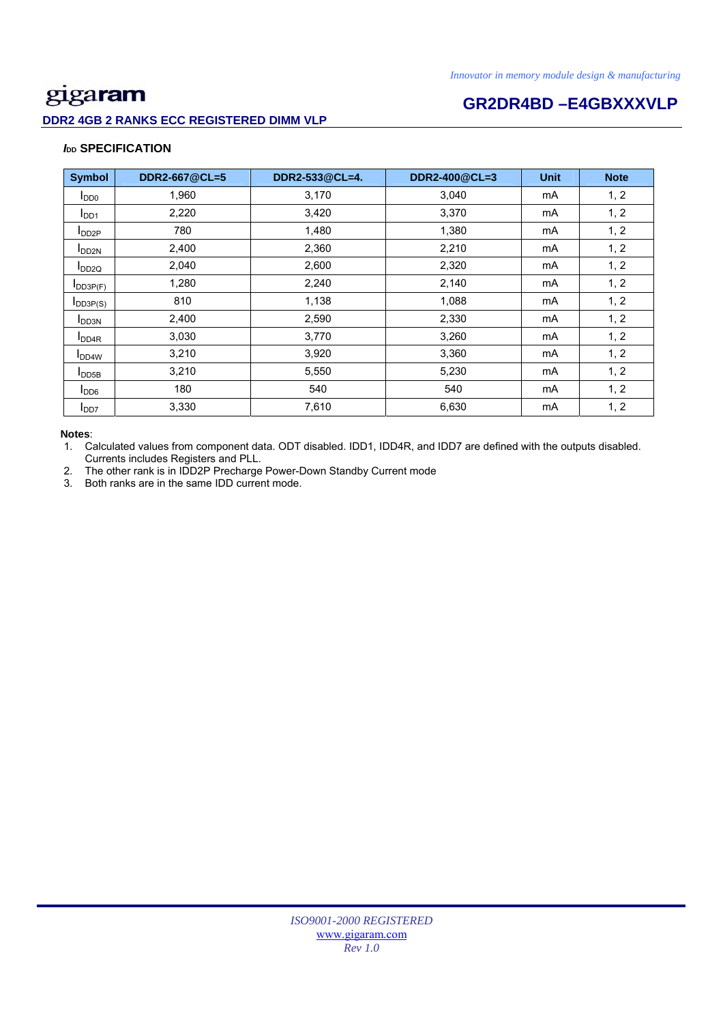### **DDR2 4GB 2 RANKS ECC REGISTERED DIMM VLP**

# **GR2DR4BD –E4GBXXXVLP**

### *I***<sub>DD</sub> SPECIFICATION**

| <b>Symbol</b>             | DDR2-667@CL=5 | DDR2-533@CL=4. | DDR2-400@CL=3 | <b>Unit</b> | <b>Note</b> |
|---------------------------|---------------|----------------|---------------|-------------|-------------|
| $I_{DD0}$                 | 1,960         | 3,170          | 3,040         | mA          | 1, 2        |
| I <sub>DD1</sub>          | 2,220         | 3,420          | 3,370         | mA          | 1, 2        |
| $I_{DD2P}$                | 780           | 1,480          | 1,380         | mA          | 1, 2        |
| <b>I</b> DD <sub>2N</sub> | 2,400         | 2,360          | 2,210         | mA          | 1, 2        |
| $I_{DD2Q}$                | 2,040         | 2,600          | 2,320         | mA          | 1, 2        |
| $I_{DD3P(F)}$             | 1,280         | 2,240          | 2,140         | mA          | 1, 2        |
| $I_{DD3P(S)}$             | 810           | 1,138          | 1,088         | mA          | 1, 2        |
| <b>I</b> DD3N             | 2,400         | 2,590          | 2,330         | mA          | 1, 2        |
| <b>I</b> DD <sub>4R</sub> | 3,030         | 3,770          | 3,260         | mA          | 1, 2        |
| I <sub>DD4W</sub>         | 3,210         | 3,920          | 3,360         | mA          | 1, 2        |
| $I_{\text{DD5B}}$         | 3,210         | 5,550          | 5,230         | mA          | 1, 2        |
| I <sub>DD6</sub>          | 180           | 540            | 540           | mA          | 1, 2        |
| I <sub>DD7</sub>          | 3,330         | 7,610          | 6,630         | mA          | 1, 2        |

### **Notes**:

1. Calculated values from component data. ODT disabled. IDD1, IDD4R, and IDD7 are defined with the outputs disabled. Currents includes Registers and PLL.

2. The other rank is in IDD2P Precharge Power-Down Standby Current mode

3. Both ranks are in the same IDD current mode.